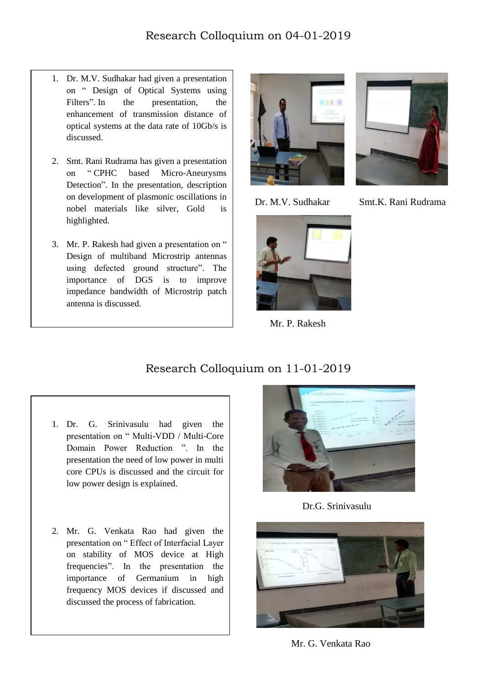- 1. Dr. M.V. Sudhakar had given a presentation on " Design of Optical Systems using Filters". In the presentation, the enhancement of transmission distance of optical systems at the data rate of 10Gb/s is discussed.
- 2. Smt. Rani Rudrama has given a presentation on " CPHC based Micro-Aneurysms Detection". In the presentation, description on development of plasmonic oscillations in nobel materials like silver, Gold is highlighted.
- 3. Mr. P. Rakesh had given a presentation on " Design of multiband Microstrip antennas using defected ground structure". The importance of DGS is to improve impedance bandwidth of Microstrip patch antenna is discussed.

 $\overline{a}$ 





Mr. P. Rakesh



Dr. M.V. Sudhakar Smt.K. Rani Rudrama

## Research Colloquium on 11-01-2019

- 1. Dr. G. Srinivasulu had given the presentation on " Multi-VDD / Multi-Core Domain Power Reduction ". In the presentation the need of low power in multi core CPUs is discussed and the circuit for low power design is explained.
- 2. Mr. G. Venkata Rao had given the presentation on " Effect of Interfacial Layer on stability of MOS device at High frequencies". In the presentation the importance of Germanium in high frequency MOS devices if discussed and discussed the process of fabrication.



Dr.G. Srinivasulu



Mr. G. Venkata Rao